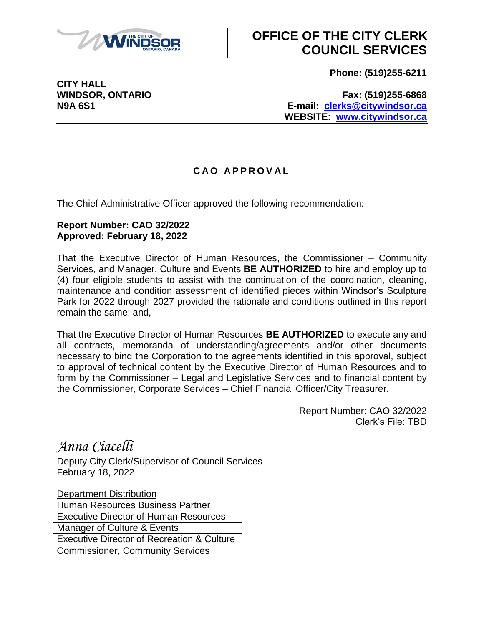

## **OFFICE OF THE CITY CLERK COUNCIL SERVICES**

**Phone: (519)255-6211**

**CITY HALL**

**WINDSOR, ONTARIO Fax: (519)255-6868 N9A 6S1 E-mail: [clerks@citywindsor.ca](mailto:clerks@citywindsor.ca) WEBSITE: [www.citywindsor.ca](http://www.citywindsor.ca/)**

## **C A O A P P R O V A L**

The Chief Administrative Officer approved the following recommendation:

## **Report Number: CAO 32/2022 Approved: February 18, 2022**

That the Executive Director of Human Resources, the Commissioner – Community Services, and Manager, Culture and Events **BE AUTHORIZED** to hire and employ up to (4) four eligible students to assist with the continuation of the coordination, cleaning, maintenance and condition assessment of identified pieces within Windsor's Sculpture Park for 2022 through 2027 provided the rationale and conditions outlined in this report remain the same; and,

That the Executive Director of Human Resources **BE AUTHORIZED** to execute any and all contracts, memoranda of understanding/agreements and/or other documents necessary to bind the Corporation to the agreements identified in this approval, subject to approval of technical content by the Executive Director of Human Resources and to form by the Commissioner – Legal and Legislative Services and to financial content by the Commissioner, Corporate Services – Chief Financial Officer/City Treasurer.

> Report Number: CAO 32/2022 Clerk's File: TBD

*Anna Ciacelli*

Deputy City Clerk/Supervisor of Council Services February 18, 2022

Department Distribution Human Resources Business Partner Executive Director of Human Resources Manager of Culture & Events Executive Director of Recreation & Culture Commissioner, Community Services